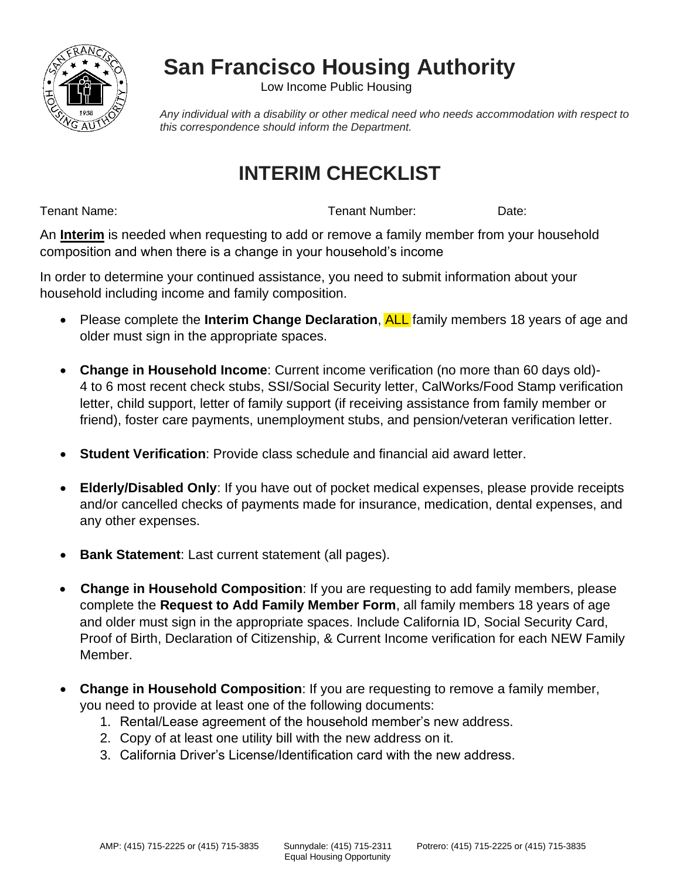

## **San Francisco Housing Authority**

Low Income Public Housing

*Any individual with a disability or other medical need who needs accommodation with respect to this correspondence should inform the Department.*

### **INTERIM CHECKLIST**

Tenant Name: Tenant Number: Date:

An **Interim** is needed when requesting to add or remove a family member from your household composition and when there is a change in your household's income

In order to determine your continued assistance, you need to submit information about your household including income and family composition.

- Please complete the **Interim Change Declaration**, ALL family members 18 years of age and older must sign in the appropriate spaces.
- **Change in Household Income**: Current income verification (no more than 60 days old)- 4 to 6 most recent check stubs, SSI/Social Security letter, CalWorks/Food Stamp verification letter, child support, letter of family support (if receiving assistance from family member or friend), foster care payments, unemployment stubs, and pension/veteran verification letter.
- **Student Verification**: Provide class schedule and financial aid award letter.
- **Elderly/Disabled Only**: If you have out of pocket medical expenses, please provide receipts and/or cancelled checks of payments made for insurance, medication, dental expenses, and any other expenses.
- **Bank Statement:** Last current statement (all pages).
- **Change in Household Composition**: If you are requesting to add family members, please complete the **Request to Add Family Member Form**, all family members 18 years of age and older must sign in the appropriate spaces. Include California ID, Social Security Card, Proof of Birth, Declaration of Citizenship, & Current Income verification for each NEW Family Member.
- **Change in Household Composition**: If you are requesting to remove a family member, you need to provide at least one of the following documents:
	- 1. Rental/Lease agreement of the household member's new address.
	- 2. Copy of at least one utility bill with the new address on it.
	- 3. California Driver's License/Identification card with the new address.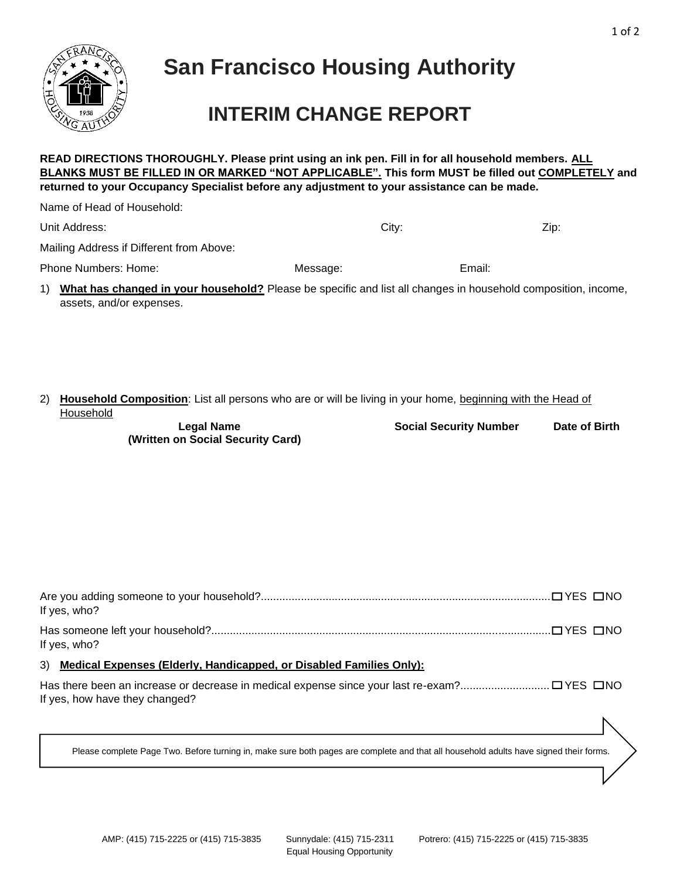

## **San Francisco Housing Authority**

### **INTERIM CHANGE REPORT**

**BLANKS MUST BE FILLED IN OR MARKED "NOT APPLICABLE". This form MUST be filled out COMPLETELY and** 

**READ DIRECTIONS THOROUGHLY. Please print using an ink pen. Fill in for all household members. ALL** 

| returned to your Occupancy Specialist before any adjustment to your assistance can be made.                                                     |          |                               |               |
|-------------------------------------------------------------------------------------------------------------------------------------------------|----------|-------------------------------|---------------|
| Name of Head of Household:                                                                                                                      |          |                               |               |
| Unit Address:                                                                                                                                   | City:    |                               | Zip:          |
| Mailing Address if Different from Above:                                                                                                        |          |                               |               |
| Phone Numbers: Home:                                                                                                                            | Message: | Email:                        |               |
| What has changed in your household? Please be specific and list all changes in household composition, income,<br>1)<br>assets, and/or expenses. |          |                               |               |
| Household Composition: List all persons who are or will be living in your home, beginning with the Head of<br>2)<br>Household                   |          |                               |               |
| <b>Legal Name</b><br>(Written on Social Security Card)                                                                                          |          | <b>Social Security Number</b> | Date of Birth |
|                                                                                                                                                 |          |                               |               |
| If yes, who?                                                                                                                                    |          |                               |               |
| If yes, who?                                                                                                                                    |          |                               |               |
| 3) Medical Expenses (Elderly, Handicapped, or Disabled Families Only):                                                                          |          |                               |               |
| If yes, how have they changed?                                                                                                                  |          |                               |               |
| Please complete Page Two. Before turning in, make sure both pages are complete and that all household adults have signed their forms.           |          |                               |               |